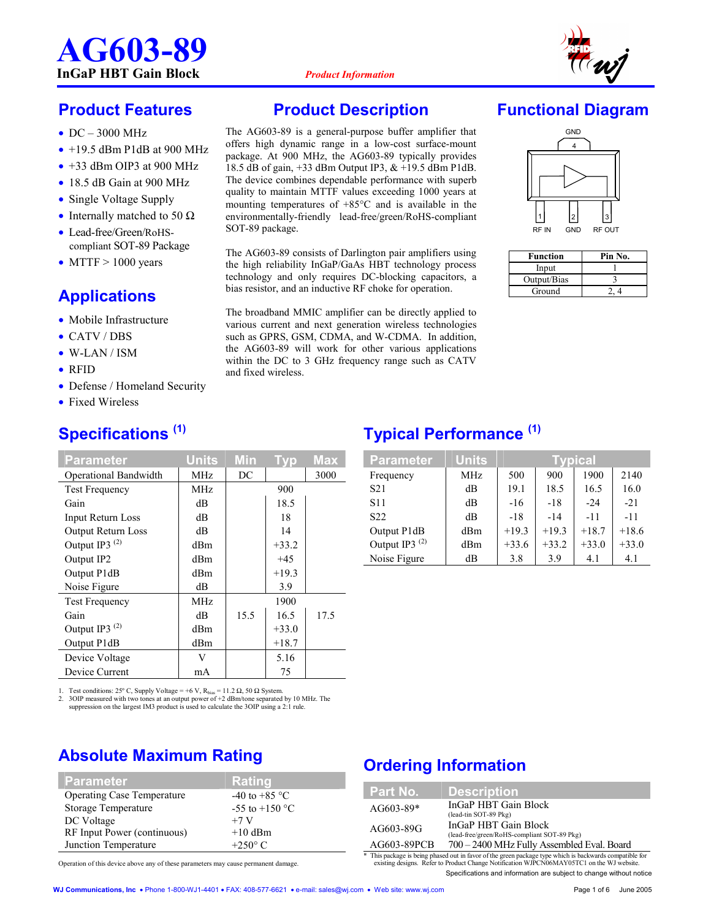# **AG603-89 InGaP HBT Gain Block** *Product Information*



## **Product Features**

- DC 3000 MHz
- $\bullet$  +19.5 dBm P1dB at 900 MHz
- $\bullet$  +33 dBm OIP3 at 900 MHz
- 18.5 dB Gain at 900 MHz
- Single Voltage Supply
- Internally matched to 50  $\Omega$
- Lead-free/Green/RoHScompliant SOT-89 Package
- MTTF  $> 1000$  years

## **Applications**

- Mobile Infrastructure
- CATV / DBS
- W-LAN / ISM
- RFID
- Defense / Homeland Security

**Specifications (1)**

• Fixed Wireless

#### **Parameter | Units Min Typ Max** Operational Bandwidth | MHz | DC | 3000 Test Frequency MHz 1 900 Gain dB 18.5 Input Return Loss dB 18 Output Return Loss dB 14 Output IP3<sup>(2)</sup> dBm  $+33.2$ Output IP2  $dBm$   $+45$ Output P1dB dBm +19.3 Noise Figure dB dB 3.9 Test Frequency MHz 1900 Gain dB 15.5 16.5 17.5 Output IP3<sup>(2)</sup> dBm  $+33.0$ Output P1dB  $\vert$  dBm  $\vert$  +18.7 Device Voltage  $\vert$  V  $\vert$  5.16 Device Current  $\vert$  mA  $\vert$  75

1. Test conditions: 25° C, Supply Voltage = +6 V,  $R_{bias} = 11.2 \Omega$ , 50 Ω System.<br>2. 3OIP measured with two tones at an output power of +2 dBm/tone separated

2. 3OIP measured with two tones at an output power of +2 dBm/tone separated by 10 MHz. The suppression on the largest IM3 product is used to calculate the 3OIP using a 2:1 rule.

## **Absolute Maximum Rating**

| <b>Parameter</b>                  | <b>Rating</b>           |
|-----------------------------------|-------------------------|
| <b>Operating Case Temperature</b> | -40 to +85 $^{\circ}$ C |
| Storage Temperature               | $-55$ to $+150$ °C      |
| DC Voltage                        | $+7$ V                  |
| RF Input Power (continuous)       | $+10$ dBm               |
| Junction Temperature              | $+250^\circ$ C          |

Operation of this device above any of these parameters may cause permanent damage.

#### **Product Description**

The AG603-89 is a general-purpose buffer amplifier that offers high dynamic range in a low-cost surface-mount package. At 900 MHz, the AG603-89 typically provides 18.5 dB of gain, +33 dBm Output IP3, & +19.5 dBm P1dB. The device combines dependable performance with superb quality to maintain MTTF values exceeding 1000 years at mounting temperatures of +85°C and is available in the environmentally-friendly lead-free/green/RoHS-compliant SOT-89 package.

The AG603-89 consists of Darlington pair amplifiers using the high reliability InGaP/GaAs HBT technology process technology and only requires DC-blocking capacitors, a bias resistor, and an inductive RF choke for operation.

The broadband MMIC amplifier can be directly applied to various current and next generation wireless technologies such as GPRS, GSM, CDMA, and W-CDMA. In addition, the AG603-89 will work for other various applications within the DC to 3 GHz frequency range such as CATV and fixed wireless.

## **Functional Diagram**



| Function    | Pin No. |
|-------------|---------|
| Input       |         |
| Output/Bias |         |
| Ground      |         |

## **Typical Performance (1)**

| <b>Parameter</b>          | <b>Units</b> | Tvpical |         |         |         |  |  |  |
|---------------------------|--------------|---------|---------|---------|---------|--|--|--|
| Frequency                 | <b>MHz</b>   | 500     | 900     | 1900    | 2140    |  |  |  |
| S <sub>21</sub>           | dB           | 19.1    | 18.5    | 16.5    | 16.0    |  |  |  |
| S <sub>11</sub>           | dB           | $-16$   | $-18$   | $-24$   | $-21$   |  |  |  |
| S <sub>22</sub>           | dB           | $-18$   | $-14$   | $-11$   | $-11$   |  |  |  |
| Output P1dB               | dBm          | $+19.3$ | $+19.3$ | $+18.7$ | $+18.6$ |  |  |  |
| Output IP3 <sup>(2)</sup> | dBm          | $+33.6$ | $+33.2$ | $+33.0$ | $+33.0$ |  |  |  |
| Noise Figure              | dВ           | 3.8     | 3.9     | 4.1     | 4.1     |  |  |  |

## **Ordering Information**

| Part No.    | <b>Description</b>                                                                                      |
|-------------|---------------------------------------------------------------------------------------------------------|
| $AG603-89*$ | InGaP HBT Gain Block<br>(lead-tin SOT-89 Pkg)                                                           |
| AG603-89G   | InGaP HBT Gain Block<br>(lead-free/green/RoHS-compliant SOT-89 Pkg)                                     |
| AG603-89PCB | 700 - 2400 MHz Fully Assembled Eval. Board                                                              |
|             | * This package is being phased out in favor of the green package type which is backwards compatible for |

Specifications and information are subject to change without notice \* This package is being phased out in favor of the green package type which is backwards compatible for existing designs. Refer to Product Change Notification WJPCN06MAY05TC1 on the WJ website.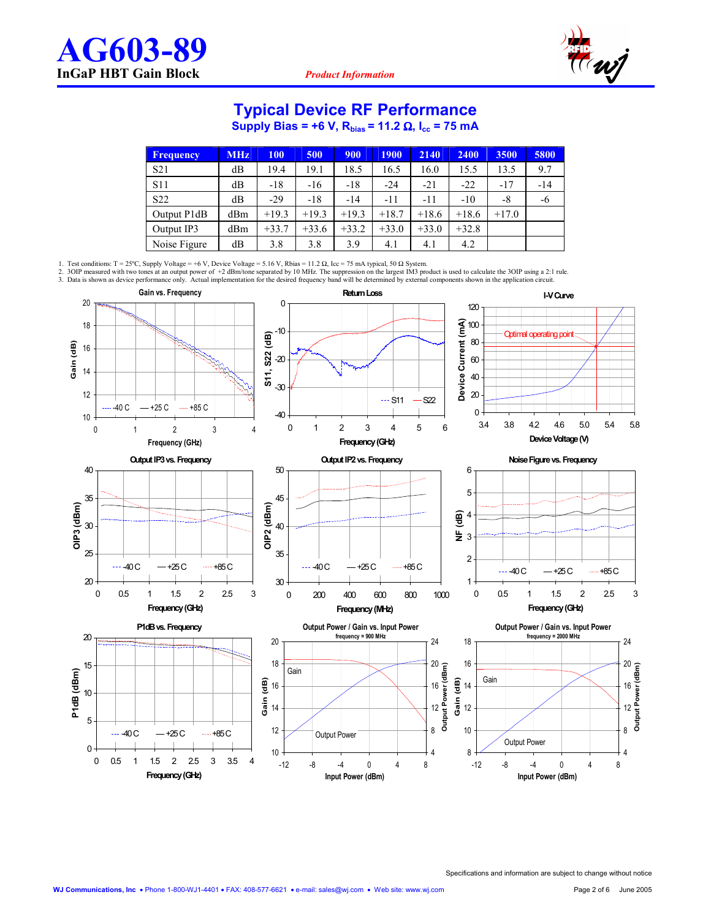$0 -$ 

0 0.5 1 1.5 2 2.5 3 3.5 4 **Frequency (GHz)**

 $-40$  C  $-+25$  C  $-485$  C

5



#### **Typical Device RF Performance**

**Supply Bias = +6 V, R<sub>bias</sub> = 11.2 Ω, I<sub>cc</sub> = 75 mA** 

| <b>Frequency</b> | <b>MHz</b> | <b>100</b> | 500     | 900     | <b>1900</b> | 2140    | 2400    | 3500    | 5800  |
|------------------|------------|------------|---------|---------|-------------|---------|---------|---------|-------|
| S <sub>21</sub>  | dB         | 19.4       | 19.1    | 18.5    | 16.5        | 16.0    | 15.5    | 13.5    | 9.7   |
| <b>S11</b>       | dВ         | $-18$      | $-16$   | $-18$   | $-24$       | $-21$   | $-22$   | $-17$   | $-14$ |
| S22              | dB         | $-29$      | $-18$   | $-14$   | -11         | $-11$   | $-10$   | -8      | -6    |
| Output P1dB      | dBm        | $+19.3$    | $+19.3$ | $+19.3$ | $+18.7$     | $+18.6$ | $+18.6$ | $+17.0$ |       |
| Output IP3       | dBm        | $+33.7$    | $+33.6$ | $+33.2$ | $+33.0$     | $+33.0$ | $+32.8$ |         |       |
| Noise Figure     | dВ         | 3.8        | 3.8     | 3.9     | 4.1         | 4.1     | 4.2     |         |       |

1. Test conditions: T = 25°C, Supply Voltage = +6 V, Device Voltage = 5.16 V, Rbias = 11.2 Ω, Icc = 75 mA typical, 50 Ω System.<br>2. 3OIP measured with two tones at an output power of +2 dBm/tone separated by 10 MHz. The su **Gain vs. Frequency Return Loss I-V Curve** 20  $\mathsf{C}$ 120 **Device Current (mA)** 18 100 -10 Optimal operating poi **S11, S22 (dB)** 80 Gain (dB) **Gain (dB)** 16 -20 60 14 40 -30 12 20  $-$ S11  $-$ S22  $-40$  C  $-+25$  C  $-$  +85 C  $\Omega$ -40 10 3.4 3.8 4.2 4.6 5.0 5.4 5.8 0123456 01234 **Device Voltage (V) Frequency (GHz) Frequency (GHz) Output IP3 vs. Frequency Output IP2 vs. Frequency Noise Figure vs. Frequency** 40 50 6 5 35  $4<sup>5</sup>$ OIP<sub>2</sub> (dBm) OIP3 (dBm) **OIP3 (dBm) OIP2 (dBm)** eg 4<br>2<br>2 3 e e espera 30 40 3 25 35  $\overline{2}$ 40 C - +25 C - +85 C  $-40$  C  $-425$  C  $-485$  C  $-40$  C  $-425$  C  $-485$  C 20 30 1 0 0.5 1 1.5 2 2.5 3 0 200 400 600 800 1000 0 0.5 1 1.5 2 2.5 3 **Frequency (GHz) Frequency (GHz) Frequency (MHz) P1dB vs. Frequency Output Power / Gain vs. Input Power Output Power / Gain vs. Input Power** 20 **frequency = 900 MHz frequency = 2000 MHz** 20 24 18 24 18 16 20 15 20 **Output Power (dBm)** Gain P1dB (dBm) **P1dB (dBm)** Gain $\frac{1}{5}$  16 **Gain (dB) Gain (dB)** 16 16 14 10 Gain 14 12 12 12

> -12 -8 -4 0 4 8 **Input Power (dBm)**

Output Power

4 8

8 10

-12 -8 -4 0 4 8 **Input Power (dBm)**

Output Power

10 12

4 8 **Output Power (dBm)**

**Output Power** 

(dBm)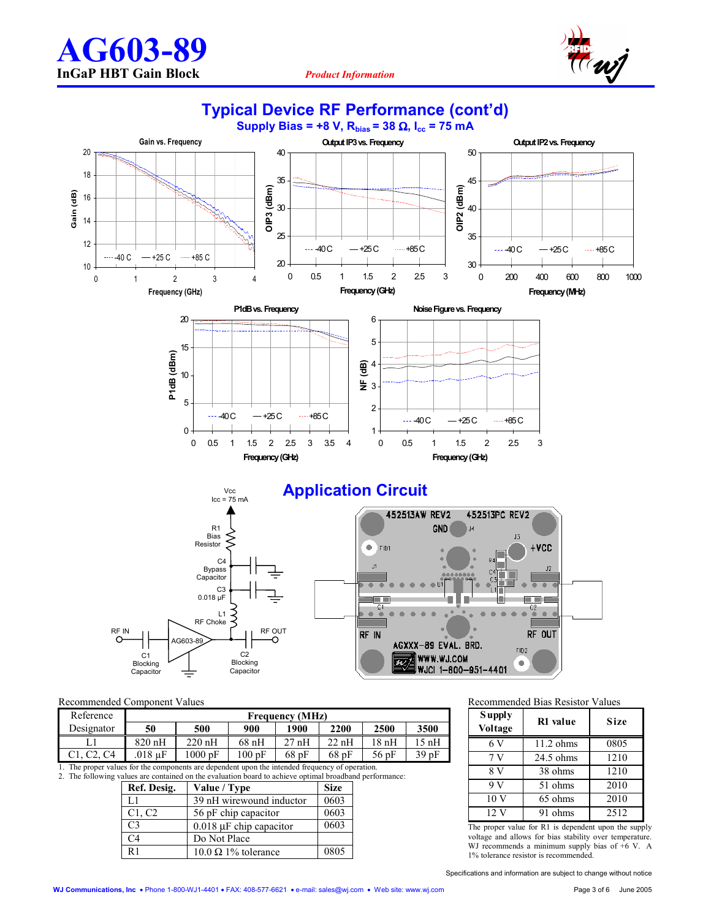10 12

14 16

**Gain (dB)**

Gain (dB)

18 20



**Typical Device RF Performance (cont'd)** 





0

5

**Application Circuit** 

1  $\overline{2}$ 



0 0.5 1 1.5 2 2.5 3 **Frequency (GHz)**

 $-40$  C  $-125$  C  $-185$  C

#### Recommended Component Values

| Reference  |         | <b>Frequency (MHz)</b> |         |      |      |         |         |  |  |  |
|------------|---------|------------------------|---------|------|------|---------|---------|--|--|--|
| Designator | 50      | 500                    | 900     | 1900 | 2200 | 2500    | 3500    |  |  |  |
|            | 820 nH  | $220 \text{ nH}$       | $68$ nH | 27nH | 22nH | 18 nH   | 15 nH   |  |  |  |
| C4         | .018 uF | $1000 \text{ pF}$      | 100 pF  | 68pF | 68pF | $56$ pF | $39p$ F |  |  |  |

0 0.5 1 1.5 2 2.5 3 3.5 4 **Frequency (GHz)**

 $-40C$   $-+25C$   $-+85C$ 

1. The proper values for the components are dependent upon the intended frequency of operation. 2. The following values are contained on the evaluation board to achieve optimal broadband performance:

| Ref. Desig.    | Value / Type                 | <b>Size</b> |
|----------------|------------------------------|-------------|
| L1             | 39 nH wirewound inductor     | 0603        |
| C1, C2         | 56 pF chip capacitor         | 0603        |
| C <sub>3</sub> | $0.018 \mu F$ chip capacitor | 0603        |
| C <sub>4</sub> | Do Not Place                 |             |
| R <sub>1</sub> | $10.0 \Omega$ 1% tolerance   | 0805        |

Recommended Bias Resistor Values

| <b>Supply</b><br>Voltage | R1 value  | Size |
|--------------------------|-----------|------|
| 6 V                      | 11.2 ohms | 0805 |
| 7 V                      | 24.5 ohms | 1210 |
| 8 V                      | 38 ohms   | 1210 |
| 9V                       | 51 ohms   | 2010 |
| 10 V                     | 65 ohms   | 2010 |
| 12 V                     | 91 ohms   | 2512 |

The proper value for R1 is dependent upon the supply voltage and allows for bias stability over temperature. WJ recommends a minimum supply bias of +6 V. A 1% tolerance resistor is recommended.

Specifications and information are subject to change without notice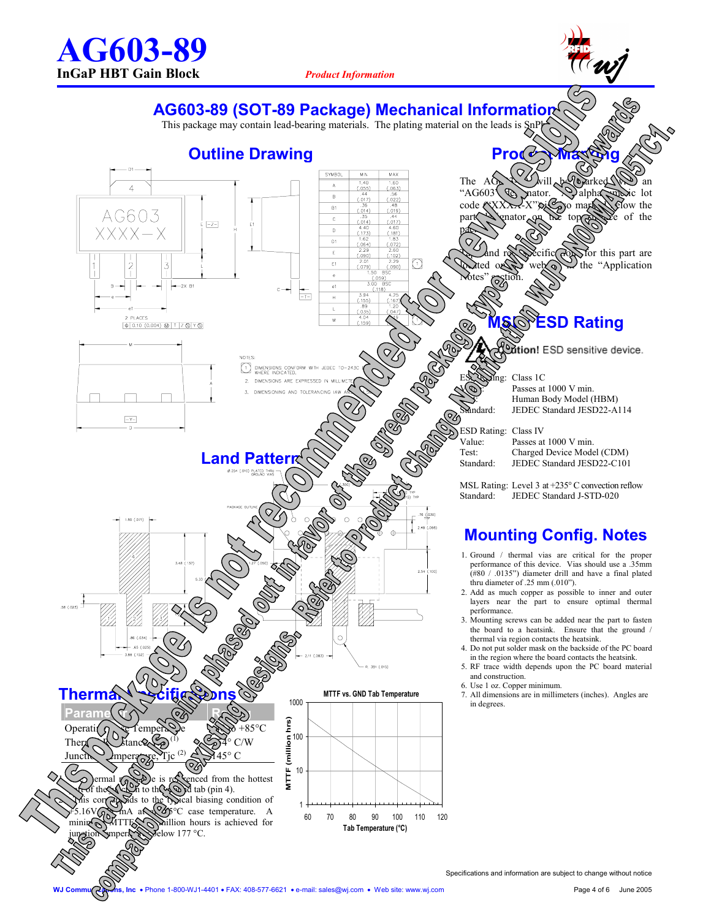

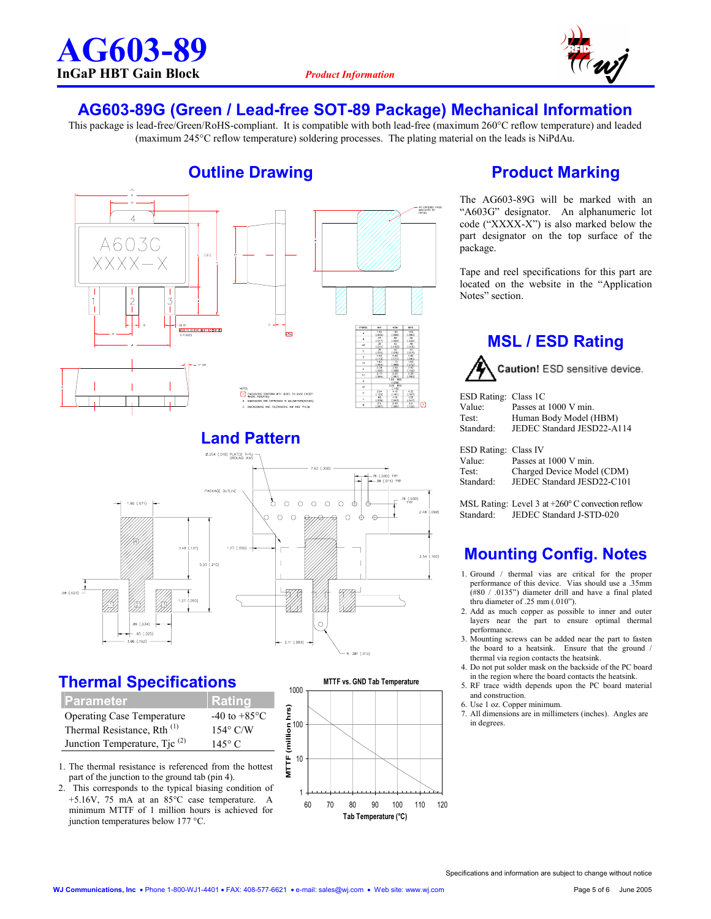

#### **AG603-89G (Green / Lead-free SOT-89 Package) Mechanical Information**

This package is lead-free/Green/RoHS-compliant. It is compatible with both lead-free (maximum 260°C reflow temperature) and leaded (maximum 245°C reflow temperature) soldering processes. The plating material on the leads is NiPdAu.



## **Thermal Specifications**

| <b>Parameter</b>                         | Rating                   |
|------------------------------------------|--------------------------|
| <b>Operating Case Temperature</b>        | $-40$ to $+85^{\circ}$ C |
| Thermal Resistance, Rth <sup>(1)</sup>   | $154^{\circ}$ C/W        |
| Junction Temperature, Tjc <sup>(2)</sup> | $145^\circ$ C            |

- 1. The thermal resistance is referenced from the hottest part of the junction to the ground tab (pin 4).
- 2. This corresponds to the typical biasing condition of +5.16V, 75 mA at an 85°C case temperature. A minimum MTTF of 1 million hours is achieved for junction temperatures below 177 °C.



## **Product Marking**

The AG603-89G will be marked with an "A603G" designator. An alphanumeric lot code ("XXXX-X") is also marked below the part designator on the top surface of the package.

Tape and reel specifications for this part are located on the website in the "Application Notes" section.

#### **MSL / ESD Rating**

Caution! ESD sensitive device.

| ESD Rating: Class 1C   |                            |
|------------------------|----------------------------|
| Value:                 | Passes at 1000 V min.      |
| Test:                  | Human Body Model (HBM)     |
| Standard:              | JEDEC Standard JESD22-A114 |
|                        |                            |
| $ECDD_1$ $\ldots$ $C1$ |                            |

| <b>ESD Rating: Class IV</b> |                            |
|-----------------------------|----------------------------|
| Value:                      | Passes at 1000 V min.      |
| Test:                       | Charged Device Model (CDM) |
| Standard:                   | JEDEC Standard JESD22-C101 |

MSL Rating: Level 3 at +260° C convection reflow<br>Standard: IEDEC Standard I-STD-020 Standard: JEDEC Standard J-STD-020

## **Mounting Config. Notes**

- 1. Ground / thermal vias are critical for the proper performance of this device. Vias should use a .35mm (#80 / .0135") diameter drill and have a final plated thru diameter of .25 mm (.010").
- 2. Add as much copper as possible to inner and outer layers near the part to ensure optimal thermal performance.
- 3. Mounting screws can be added near the part to fasten the board to a heatsink. Ensure that the ground / thermal via region contacts the heatsink.
- 4. Do not put solder mask on the backside of the PC board in the region where the board contacts the heatsink.
- 5. RF trace width depends upon the PC board material and construction.
- 6. Use 1 oz. Copper minimum.
- 7. All dimensions are in millimeters (inches). Angles are in degrees.

Specifications and information are subject to change without notice